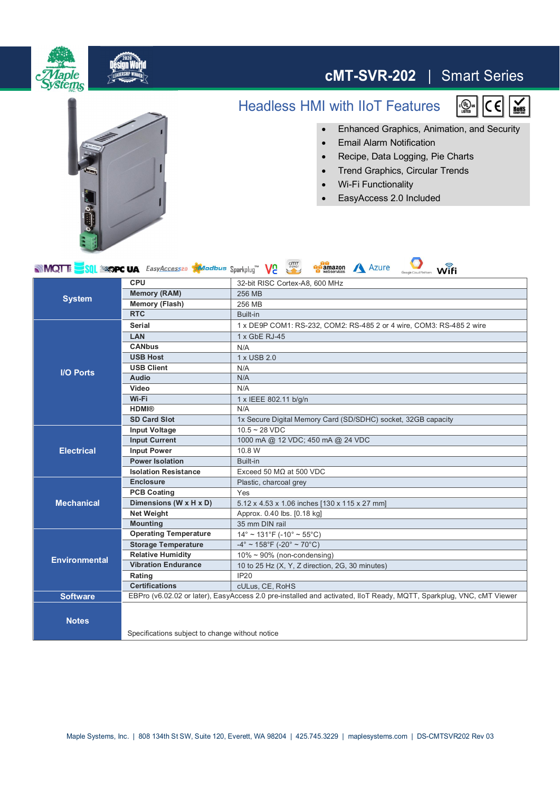

## **cMT-SVR-202** | Smart Series **cMT-SVR-202** | Smart Series

## Headless HMI with IIoT Features





- ∂ Email Alarm Notification
- ∂ Recipe, Data Logging, Pie Charts
- ∂ Trend Graphics, Circular Trends
- Wi-Fi Functionality
- ∂ EasyAccess 2.0 Included



| <b>op</b> amazon<br><b>MOTE</b> SOL <b>SOPC UA</b> <i>EasyAccessed Modbus</i> Sparkplug <sup>"</sup> V <sub>2</sub><br><b>Azure</b><br>Wifi |                                                                                                                     |                                                                      |
|---------------------------------------------------------------------------------------------------------------------------------------------|---------------------------------------------------------------------------------------------------------------------|----------------------------------------------------------------------|
| <b>System</b>                                                                                                                               | <b>CPU</b>                                                                                                          | 32-bit RISC Cortex-A8, 600 MHz                                       |
|                                                                                                                                             | <b>Memory (RAM)</b>                                                                                                 | 256 MB                                                               |
|                                                                                                                                             | <b>Memory (Flash)</b>                                                                                               | 256 MB                                                               |
|                                                                                                                                             | <b>RTC</b>                                                                                                          | Built-in                                                             |
| <b>I/O Ports</b>                                                                                                                            | Serial                                                                                                              | 1 x DE9P COM1: RS-232, COM2: RS-485 2 or 4 wire, COM3: RS-485 2 wire |
|                                                                                                                                             | LAN                                                                                                                 | 1 x GbE RJ-45                                                        |
|                                                                                                                                             | <b>CANbus</b>                                                                                                       | N/A                                                                  |
|                                                                                                                                             | <b>USB Host</b>                                                                                                     | 1 x USB 2.0                                                          |
|                                                                                                                                             | <b>USB Client</b>                                                                                                   | N/A                                                                  |
|                                                                                                                                             | <b>Audio</b>                                                                                                        | N/A                                                                  |
|                                                                                                                                             | Video                                                                                                               | N/A                                                                  |
|                                                                                                                                             | Wi-Fi                                                                                                               | 1 x IEEE 802.11 b/g/n                                                |
|                                                                                                                                             | <b>HDMI®</b>                                                                                                        | N/A                                                                  |
|                                                                                                                                             | <b>SD Card Slot</b>                                                                                                 | 1x Secure Digital Memory Card (SD/SDHC) socket, 32GB capacity        |
| <b>Electrical</b>                                                                                                                           | <b>Input Voltage</b>                                                                                                | $10.5 - 28$ VDC                                                      |
|                                                                                                                                             | <b>Input Current</b>                                                                                                | 1000 mA @ 12 VDC; 450 mA @ 24 VDC                                    |
|                                                                                                                                             | <b>Input Power</b>                                                                                                  | 10.8 W                                                               |
|                                                                                                                                             | <b>Power Isolation</b>                                                                                              | Built-in                                                             |
|                                                                                                                                             | <b>Isolation Resistance</b>                                                                                         | Exceed 50 $M\Omega$ at 500 VDC                                       |
| <b>Mechanical</b>                                                                                                                           | <b>Enclosure</b>                                                                                                    | Plastic, charcoal grey                                               |
|                                                                                                                                             | <b>PCB Coating</b>                                                                                                  | Yes                                                                  |
|                                                                                                                                             | Dimensions (W x H x D)                                                                                              | 5.12 x 4.53 x 1.06 inches [130 x 115 x 27 mm]                        |
|                                                                                                                                             | <b>Net Weight</b>                                                                                                   | Approx. 0.40 lbs. [0.18 kg]                                          |
|                                                                                                                                             | <b>Mounting</b>                                                                                                     | 35 mm DIN rail                                                       |
| <b>Environmental</b>                                                                                                                        | <b>Operating Temperature</b>                                                                                        | $14^{\circ}$ ~ 131°F (-10° ~ 55°C)                                   |
|                                                                                                                                             | <b>Storage Temperature</b>                                                                                          | $-4^{\circ}$ ~ 158°F (-20° ~ 70°C)                                   |
|                                                                                                                                             | <b>Relative Humidity</b>                                                                                            | $10\% \sim 90\%$ (non-condensing)                                    |
|                                                                                                                                             | <b>Vibration Endurance</b>                                                                                          | 10 to 25 Hz (X, Y, Z direction, 2G, 30 minutes)                      |
|                                                                                                                                             | Rating                                                                                                              | <b>IP20</b>                                                          |
|                                                                                                                                             | <b>Certifications</b>                                                                                               | cULus, CE, RoHS                                                      |
| <b>Software</b>                                                                                                                             | EBPro (v6.02.02 or later), EasyAccess 2.0 pre-installed and activated, IIoT Ready, MQTT, Sparkplug, VNC, cMT Viewer |                                                                      |
| <b>Notes</b>                                                                                                                                | Specifications subject to change without notice                                                                     |                                                                      |